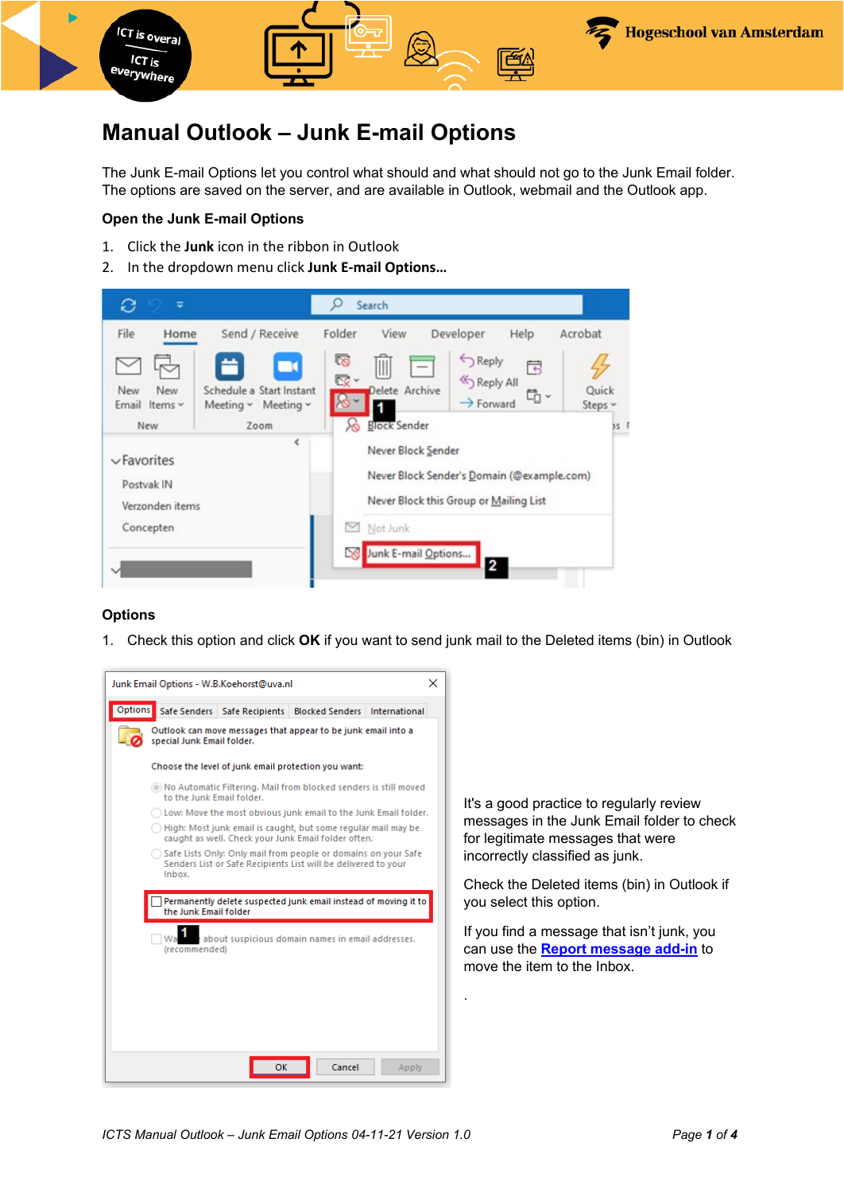

# **Manual Outlook – Junk E-mail Options**

The Junk E-mail Options let you control what should and what should not go to the Junk Email folder. The options are saved on the server, and are available in Outlook, webmail and the Outlook app.

## **Open the Junk E-mail Options**

- 1. Click the **Junk** icon in the ribbon in Outlook
- 2. In the dropdown menu click **Junk E-mail Options…**



## **Options**

1. Check this option and click **OK** if you want to send junk mail to the Deleted items (bin) in Outlook



It's a good practice to regularly review messages in the Junk Email folder to check for legitimate messages that were incorrectly classified as junk.

Check the Deleted items (bin) in Outlook if you select this option.

If you find a message that isn't junk, you can use the **[Report message add-in](https://az.hva.nl/en/employees/az-lemmas/employees/auas/its-si/e-mail/creating-a-spam-filter/creating-a-spam-filter.html)** to move the item to the Inbox.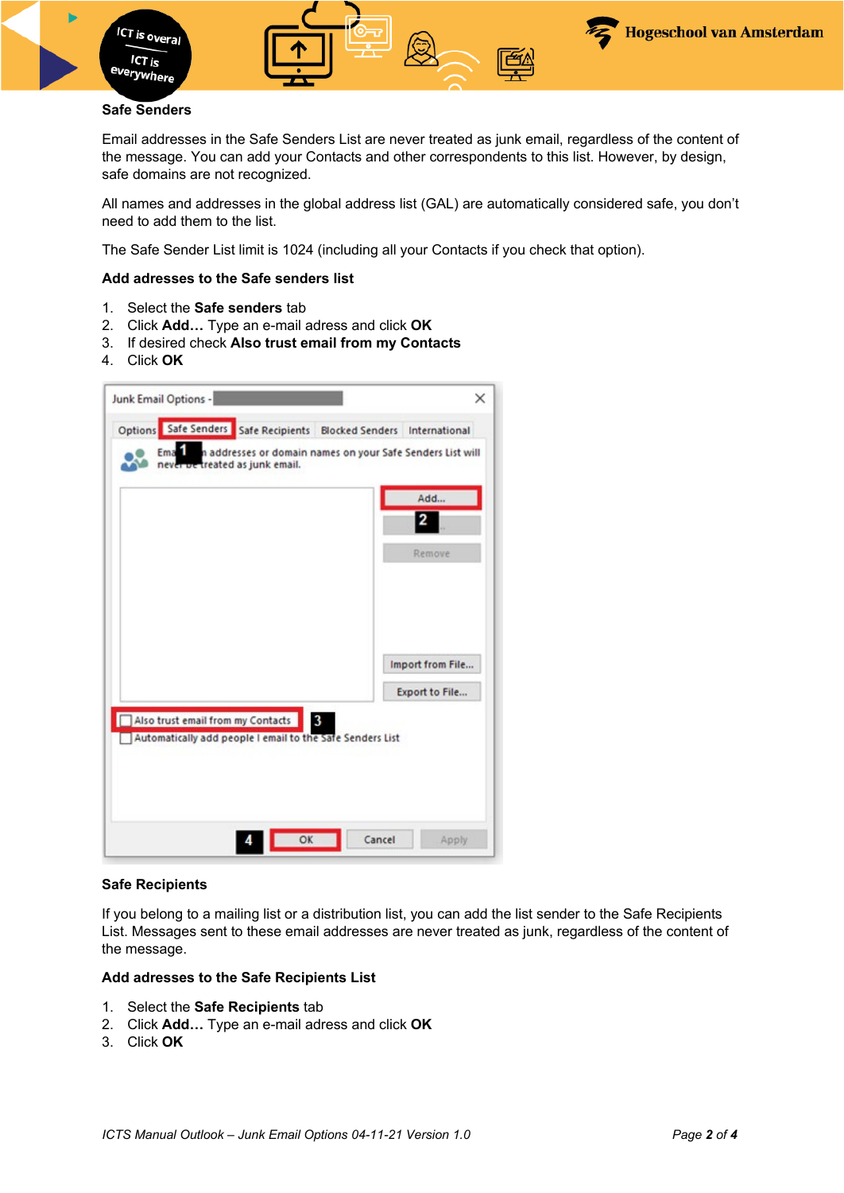

ICT is overal

ICT is <sup>e</sup>verywhere

Email addresses in the Safe Senders List are never treated as junk email, regardless of the content of the message. You can add your Contacts and other correspondents to this list. However, by design, safe domains are not recognized.

All names and addresses in the global address list (GAL) are automatically considered safe, you don't need to add them to the list.

The Safe Sender List limit is 1024 (including all your Contacts if you check that option).

#### **Add adresses to the Safe senders list**

- 1. Select the **Safe senders** tab
- 2. Click **Add…** Type an e-mail adress and click **OK**
- 3. If desired check **Also trust email from my Contacts**
- 4. Click **OK**

| never be treated as junk email. |                                   |                                                                |                  |
|---------------------------------|-----------------------------------|----------------------------------------------------------------|------------------|
|                                 |                                   |                                                                | Add<br>2         |
|                                 |                                   |                                                                | Remove           |
|                                 |                                   |                                                                | Import from File |
|                                 |                                   |                                                                | Export to File   |
|                                 | Also trust email from my Contacts | 3<br>Automatically add people I email to the Safe Senders List |                  |

#### **Safe Recipients**

If you belong to a mailing list or a distribution list, you can add the list sender to the Safe Recipients List. Messages sent to these email addresses are never treated as junk, regardless of the content of the message.

#### **Add adresses to the Safe Recipients List**

- 1. Select the **Safe Recipients** tab
- 2. Click **Add…** Type an e-mail adress and click **OK**
- 3. Click **OK**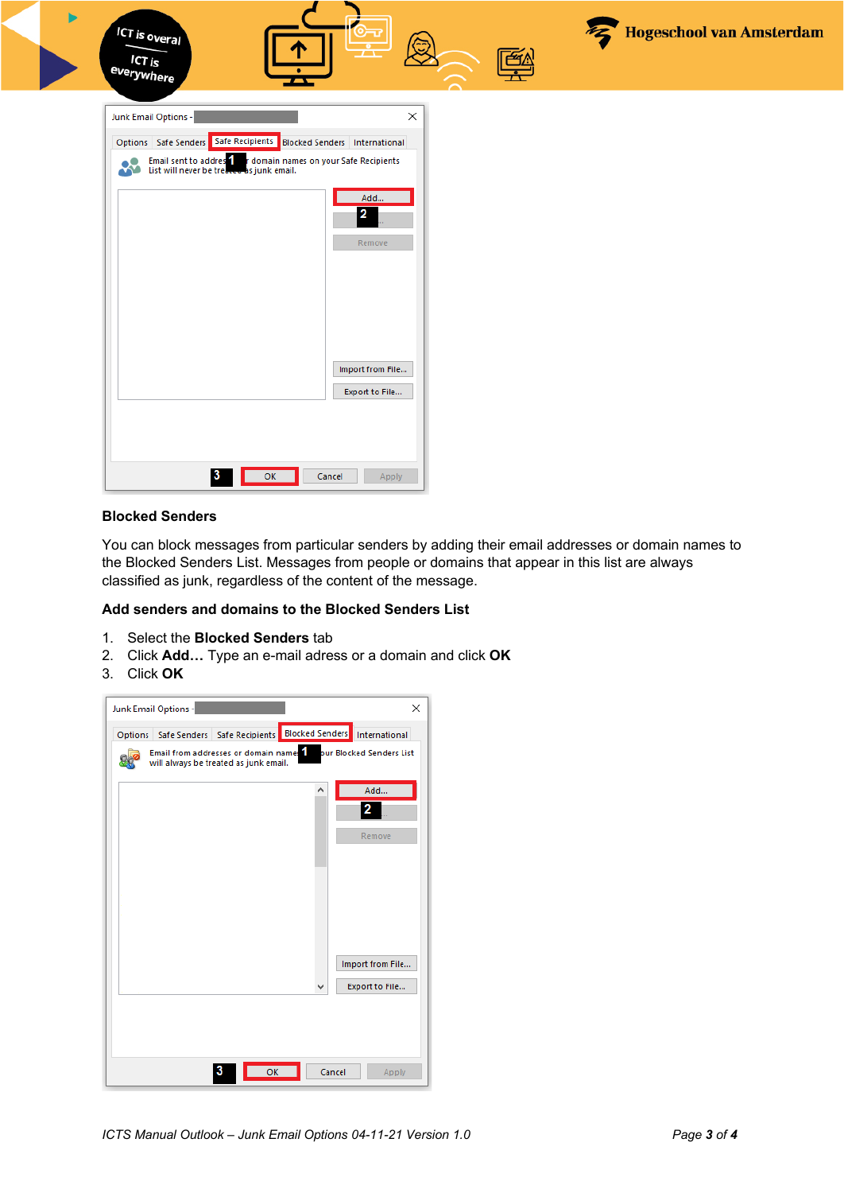| <b>ICT is overal</b><br>ICT is<br>everywhere |                                                                                                                      |  | Hogeschool van Amsterdam |
|----------------------------------------------|----------------------------------------------------------------------------------------------------------------------|--|--------------------------|
| Junk Email Options -                         | ×<br>Options   Safe Senders   Safe Recipients   Blocked Senders   International                                      |  |                          |
|                                              | <b>Email sent to address for a domain names on your Safe Recipients</b><br>List will never be treated as junk email. |  |                          |
|                                              | Add<br>$\mathbf{2}$<br>Remove                                                                                        |  |                          |
|                                              |                                                                                                                      |  |                          |
|                                              |                                                                                                                      |  |                          |
|                                              | Import from File<br>Export to File                                                                                   |  |                          |
|                                              |                                                                                                                      |  |                          |
| -3                                           | OK<br>Cancel<br>Apply                                                                                                |  |                          |

## **Blocked Senders**

You can block messages from particular senders by adding their email addresses or domain names to the Blocked Senders List. Messages from people or domains that appear in this list are always classified as junk, regardless of the content of the message.

## **Add senders and domains to the Blocked Senders List**

- 1. Select the **Blocked Senders** tab
- 2. Click **Add…** Type an e-mail adress or a domain and click **OK**
- 3. Click **OK**